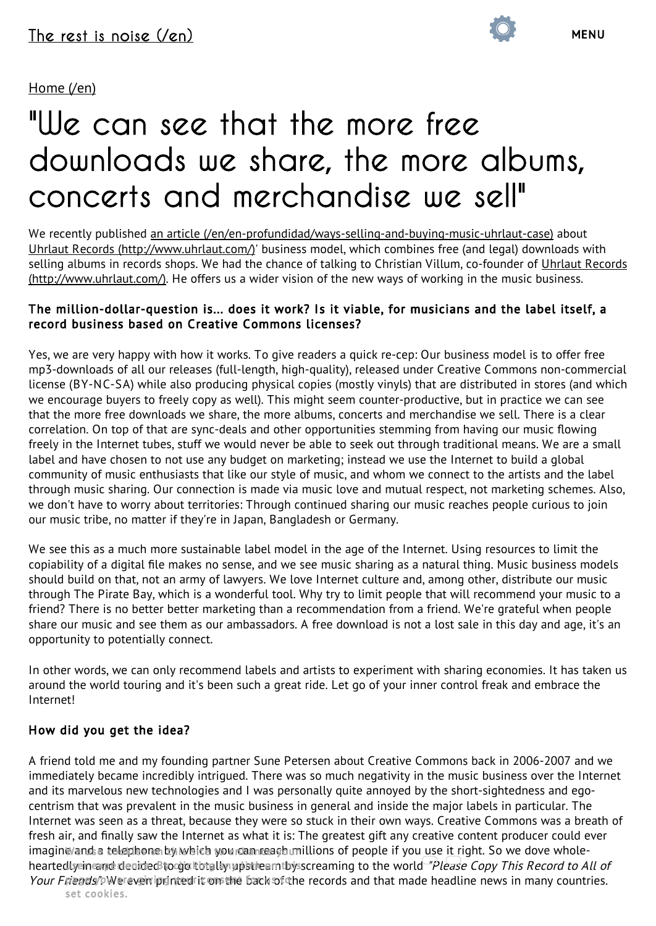#### [Home](http://www.lodemasesruido.com/en) (/en)

# ["We can see that the more free](http://www.lodemasesruido.com/en/indepth) [downloads we share, the more albums,](http://www.lodemasesruido.com/en/interviews) [concerts and merchandise we sell"](http://www.lodemasesruido.com/en/links)

We recently published an article [\(/en/en-profundidad/ways-selling-and-buying-music-uhrlaut-case\)](http://www.lodemasesruido.com/en/en-profundidad/ways-selling-and-buying-music-uhrlaut-case) about Uhrlaut Records [\(http://www.uhrlaut.com/\)](http://www.uhrlaut.com/)' business model, which combines free (and legal) downloads with selling albums in records shops. We had the chance of talking to Christian Villum, co-founder of Uhrlaut Records [\(http://www.uhrlaut.com/\).](http://www.uhrlaut.com/) He offers us a wider vision of the new ways of working in the music business.

#### The million-dollar-question is... does it work? Is it viable, for musicians and the label itself, a record business based on Creative Commons licenses?

Yes, we are very happy with how it works. To give readers a quick re-cep: Our business model is to offer free mp3-downloads of all our releases (full-length, high-quality), released under Creative Commons non-commercial license (BY-NC-SA) while also producing physical copies (mostly vinyls) that are distributed in stores (and which we encourage buyers to freely copy as well). This might seem counter-productive, but in practice we can see that the more free downloads we share, the more albums, concerts and merchandise we sell. There is a clear correlation. On top of that are sync-deals and other opportunities stemming from having our music flowing freely in the Internet tubes, stuff we would never be able to seek out through traditional means. We are a small label and have chosen to not use any budget on marketing; instead we use the Internet to build a global community of music enthusiasts that like our style of music, and whom we connect to the artists and the label through music sharing. Our connection is made via music love and mutual respect, not marketing schemes. Also, we don't have to worry about territories: Through continued sharing our music reaches people curious to join our music tribe, no matter if they're in Japan, Bangladesh or Germany.

We see this as a much more sustainable label model in the age of the Internet. Using resources to limit the copiability of a digital file makes no sense, and we see music sharing as a natural thing. Music business models should build on that, not an army of lawyers. We love Internet culture and, among other, distribute our music through The Pirate Bay, which is a wonderful tool. Why try to limit people that will recommend your music to a friend? There is no better better marketing than a recommendation from a friend. We're grateful when people share our music and see them as our ambassadors. A free download is not a lost sale in this day and age, it's an opportunity to potentially connect.

In other words, we can only recommend labels and artists to experiment with sharing economies. It has taken us around the world touring and it's been such a great ride. Let go of your inner control freak and embrace the Internet!

#### How did you get the idea?

A friend told me and my founding partner Sune Petersen about Creative Commons back in 2006-2007 and we immediately became incredibly intrigued. There was so much negativity in the music business over the Internet and its marvelous new technologies and I was personally quite annoyed by the short-sightedness and egocentrism that was prevalent in the music business in general and inside the major labels in particular. The Internet was seen as a threat, because they were so stuck in their own ways. Creative Commons was a breath of fresh air, and finally saw the Internet as what it is: The greatest gift any creative content producer could ever imagin⊌/and a telephone by which you can reach millions of people if you use it right. So we dove wholeheartedly in and decided to go totally upstream thy screaming to the world *"Please Copy This Record to All of* Your Friends/<sup>6</sup>Wereven iprinted it on the back of the records and that made headline news in many countries. set cookies.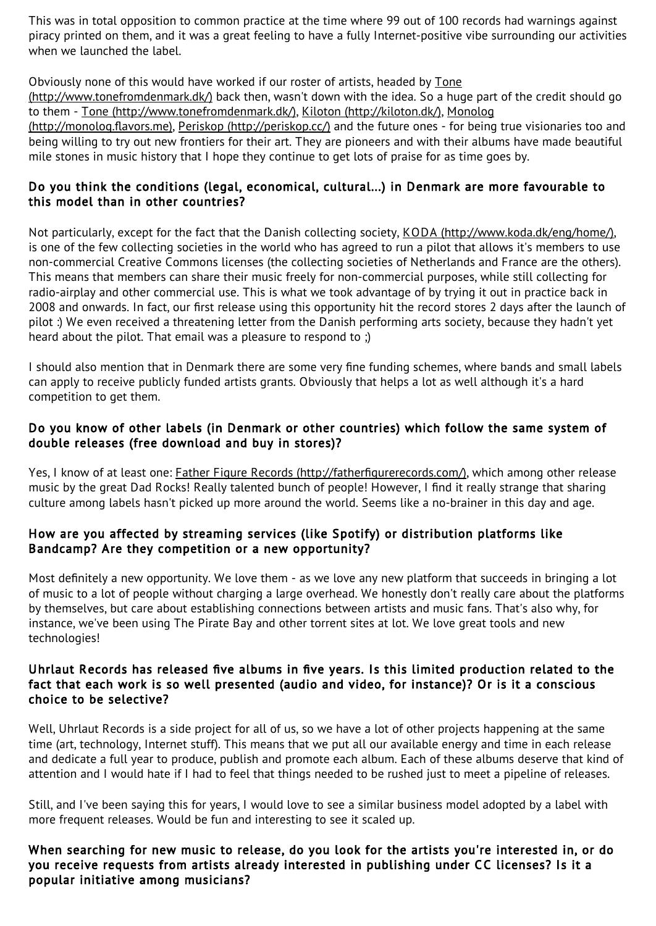This was in total opposition to common practice at the time where 99 out of 100 records had warnings against piracy printed on them, and it was a great feeling to have a fully Internet-positive vibe surrounding our activities when we launched the label.

Obviously none of this would have worked if our roster of artists, headed by Tone

[\(http://www.tonefromdenmark.dk/\)](http://www.tonefromdenmark.dk/) back then, wasn't down with the idea. So a huge part of the credit should go to them - Tone [\(http://www.tonefromdenmark.dk/\),](http://monolog.flavors.me/) Kiloton [\(http://kiloton.dk/\),](http://kiloton.dk/) Monolog

(http://monolog.flavors.me), Periskop [\(http://periskop.cc/\)](http://periskop.cc/) and the future ones - for being true visionaries too and being willing to try out new frontiers for their art. They are pioneers and with their albums have made beautiful mile stones in music history that I hope they continue to get lots of praise for as time goes by.

#### Do you think the conditions (legal, economical, cultural...) in Denmark are more favourable to this model than in other countries?

Not particularly, except for the fact that the Danish collecting society, KODA [\(http://www.koda.dk/eng/home/\)](http://www.koda.dk/eng/home/), is one of the few collecting societies in the world who has agreed to run a pilot that allows it's members to use non-commercial Creative Commons licenses (the collecting societies of Netherlands and France are the others). This means that members can share their music freely for non-commercial purposes, while still collecting for radio-airplay and other commercial use. This is what we took advantage of by trying it out in practice back in 2008 and onwards. In fact, our first release using this opportunity hit the record stores 2 days after the launch of pilot :) We even received a threatening letter from the Danish performing arts society, because they hadn't yet heard about the pilot. That email was a pleasure to respond to ;)

I should also mention that in Denmark there are some very fine funding schemes, where bands and small labels can apply to receive publicly funded artists grants. Obviously that helps a lot as well although it's a hard competition to get them.

#### Do you know of other labels (in Denmark or other countries) which follow the same system of double releases (free download and buy in stores)?

Yes, I know of at least one: Father Figure Records [\(http://fatherfigurerecords.com/\),](http://fatherfigurerecords.com/) which among other release music by the great Dad Rocks! Really talented bunch of people! However, I find it really strange that sharing culture among labels hasn't picked up more around the world. Seems like a no-brainer in this day and age.

#### How are you affected by streaming services (like Spotify) or distribution platforms like Bandcamp? Are they competition or a new opportunity?

Most definitely a new opportunity. We love them - as we love any new platform that succeeds in bringing a lot of music to a lot of people without charging a large overhead. We honestly don't really care about the platforms by themselves, but care about establishing connections between artists and music fans. That's also why, for instance, we've been using The Pirate Bay and other torrent sites at lot. We love great tools and new technologies!

#### Uhrlaut Records has released five albums in five years. Is this limited production related to the fact that each work is so well presented (audio and video, for instance)? Or is it a conscious choice to be selective?

Well, Uhrlaut Records is a side project for all of us, so we have a lot of other projects happening at the same time (art, technology, Internet stuff). This means that we put all our available energy and time in each release and dedicate a full year to produce, publish and promote each album. Each of these albums deserve that kind of attention and I would hate if I had to feel that things needed to be rushed just to meet a pipeline of releases.

Still, and I've been saying this for years, I would love to see a similar business model adopted by a label with more frequent releases. Would be fun and interesting to see it scaled up.

When searching for new music to release, do you look for the artists you're interested in, or do you receive requests from artists already interested in publishing under CC licenses? Is it a popular initiative among musicians?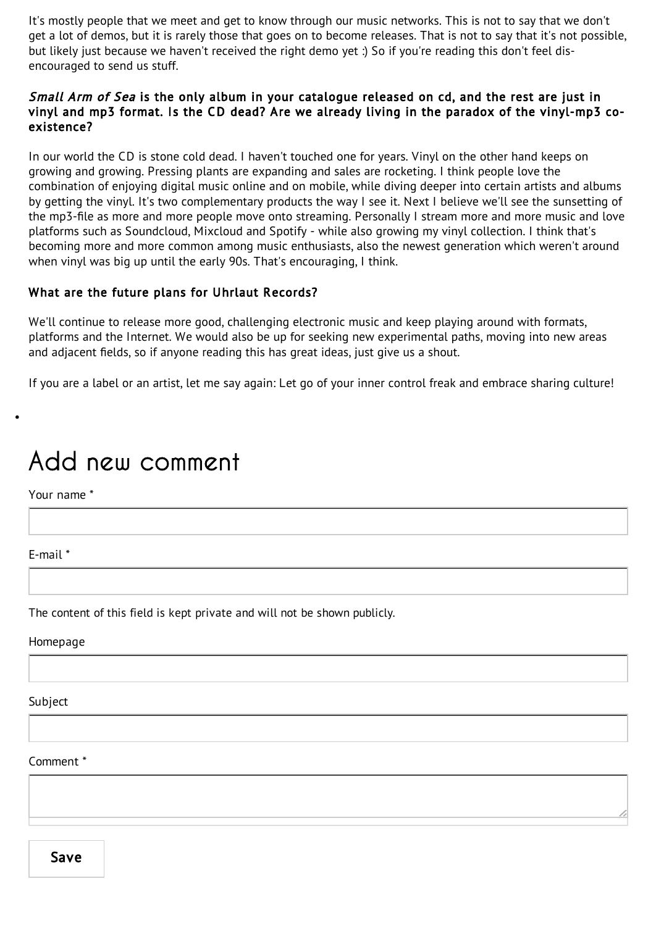It's mostly people that we meet and get to know through our music networks. This is not to say that we don't get a lot of demos, but it is rarely those that goes on to become releases. That is not to say that it's not possible, but likely just because we haven't received the right demo yet :) So if you're reading this don't feel disencouraged to send us stuff.

#### Small Arm of Sea is the only album in your catalogue released on cd, and the rest are just in vinyl and mp3 format. Is the CD dead? Are we already living in the paradox of the vinyl-mp3 coexistence?

In our world the CD is stone cold dead. I haven't touched one for years. Vinyl on the other hand keeps on growing and growing. Pressing plants are expanding and sales are rocketing. I think people love the combination of enjoying digital music online and on mobile, while diving deeper into certain artists and albums by getting the vinyl. It's two complementary products the way I see it. Next I believe we'll see the sunsetting of the mp3-file as more and more people move onto streaming. Personally I stream more and more music and love platforms such as Soundcloud, Mixcloud and Spotify - while also growing my vinyl collection. I think that's becoming more and more common among music enthusiasts, also the newest generation which weren't around when vinyl was big up until the early 90s. That's encouraging, I think.

#### What are the future plans for Uhrlaut Records?

We'll continue to release more good, challenging electronic music and keep playing around with formats, platforms and the Internet. We would also be up for seeking new experimental paths, moving into new areas and adjacent fields, so if anyone reading this has great ideas, just give us a shout.

If you are a label or an artist, let me say again: Let go of your inner control freak and embrace sharing culture!

### Add new comment

Your name \*

E-mail \*

The content of this field is kept private and will not be shown publicly.

Homepage

Subject

#### Comment \*

Save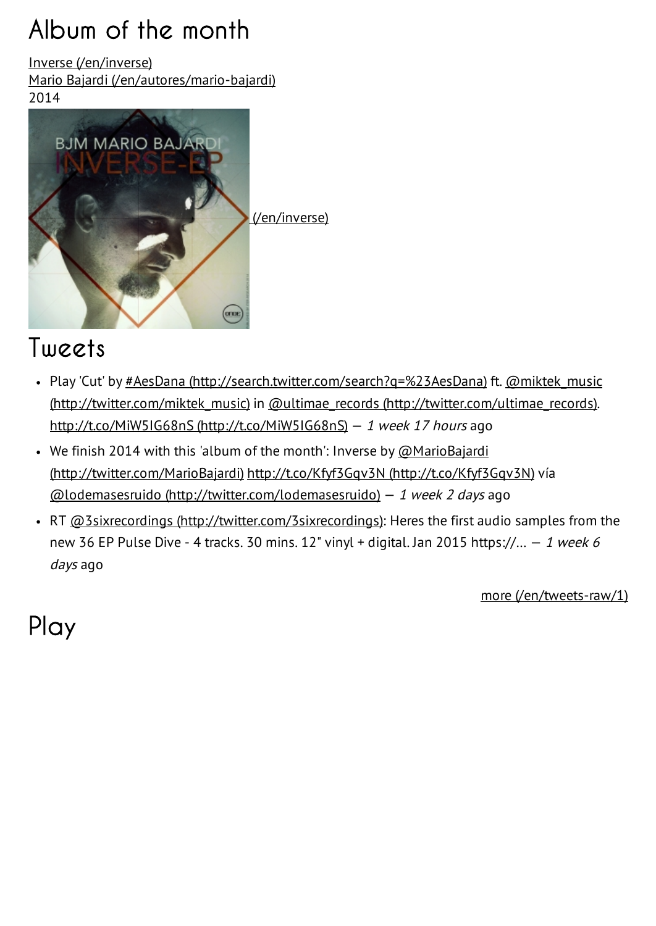# Album of the month

Inverse [\(/en/inverse\)](http://www.lodemasesruido.com/en/inverse)

Mario Bajardi [\(/en/autores/mario-bajardi\)](http://www.lodemasesruido.com/en/autores/mario-bajardi)





### Tweets

- Play 'Cut' by #AesDana [\(http://search.twitter.com/search?q=%23AesDana\)](http://twitter.com/miktek_music) ft. @miktek\_music (http://twitter.com/miktek\_music) in @ultimae\_records [\(http://twitter.com/ultimae\\_records\)](http://twitter.com/ultimae_records). http://t.co/MiW5IG68nS [\(http://t.co/MiW5IG68nS\)](http://t.co/MiW5IG68nS) — <sup>1</sup> week <sup>17</sup> hours ago
- We finish 2014 with this 'album of the month': Inverse by  $@$ MarioBajardi [\(http://twitter.com/MarioBajardi\)](http://twitter.com/MarioBajardi) http://t.co/Kfyf3Gqv3N [\(http://t.co/Kfyf3Gqv3N\)](http://t.co/Kfyf3Gqv3N) vía  $\omega$ lodemasesruido [\(http://twitter.com/lodemasesruido\)](http://twitter.com/lodemasesruido) - 1 week 2 days ago
- RT @3sixrecordings [\(http://twitter.com/3sixrecordings\):](http://twitter.com/3sixrecordings) Heres the first audio samples from the new 36 EP Pulse Dive - 4 tracks. 30 mins. 12" vinyl + digital. Jan 2015 https://...  $-1$  week 6 days ago

more [\(/en/tweets-raw/1\)](http://www.lodemasesruido.com/en/tweets-raw/1)

Play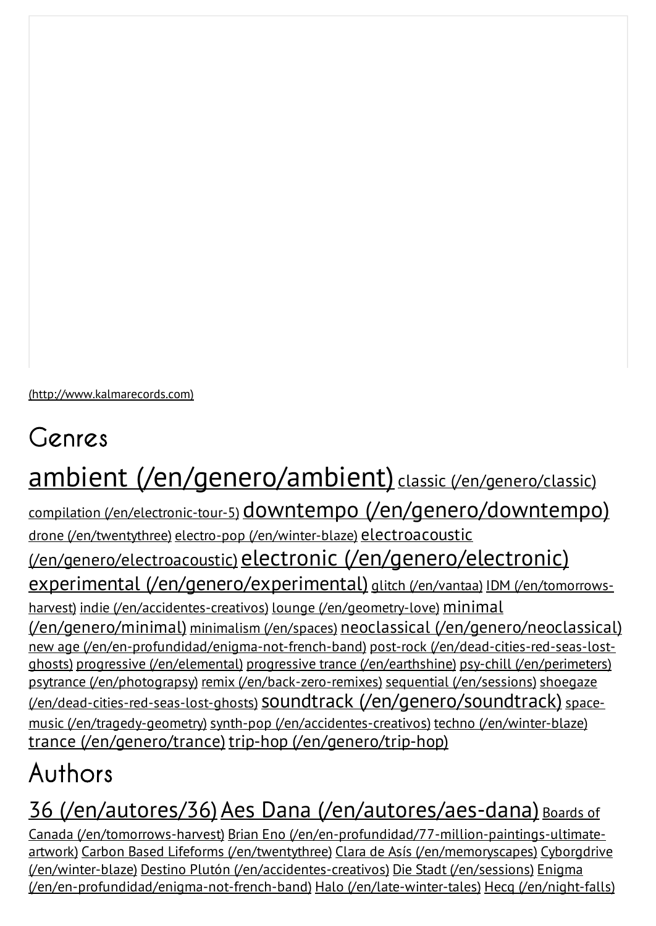[\(http://www.kalmarecords.com\)](http://www.kalmarecords.com/)

# Genres

# ambient [\(/en/genero/ambient\)](http://www.lodemasesruido.com/en/genero/ambient) classic [\(/en/genero/classic\)](http://www.lodemasesruido.com/en/genero/classic)

compilation [\(/en/electronic-tour-5\)](http://www.lodemasesruido.com/en/electronic-tour-5) downtempo [\(/en/genero/downtempo\)](http://www.lodemasesruido.com/en/genero/downtempo) drone [\(/en/twentythree\)](http://www.lodemasesruido.com/en/twentythree) electro-pop [\(/en/winter-blaze\)](http://www.lodemasesruido.com/en/winter-blaze) electroacoustic [\(/en/genero/electroacoustic\)](http://www.lodemasesruido.com/en/genero/electroacoustic) electronic [\(/en/genero/electronic\)](http://www.lodemasesruido.com/en/genero/electronic) experimental [\(/en/genero/experimental\)](http://www.lodemasesruido.com/en/genero/experimental) glitch [\(/en/vantaa\)](http://www.lodemasesruido.com/en/vantaa) IDM (/en/tomorrowsharvest) indie [\(/en/accidentes-creativos\)](http://www.lodemasesruido.com/en/accidentes-creativos) lounge [\(/en/geometry-love\)](http://www.lodemasesruido.com/en/geometry-love) minimal [\(/en/genero/minimal\)](http://www.lodemasesruido.com/en/genero/minimal) minimalism [\(/en/spaces\)](http://www.lodemasesruido.com/en/spaces) neoclassical [\(/en/genero/neoclassical\)](http://www.lodemasesruido.com/en/genero/neoclassical) new age [\(/en/en-profundidad/enigma-not-french-band\)](http://www.lodemasesruido.com/en/dead-cities-red-seas-lost-ghosts) post-rock (/en/dead-cities-red-seas-lostghosts) progressive [\(/en/elemental\)](http://www.lodemasesruido.com/en/elemental) progressive trance [\(/en/earthshine\)](http://www.lodemasesruido.com/en/earthshine) psy-chill [\(/en/perimeters\)](http://www.lodemasesruido.com/en/perimeters) psytrance [\(/en/photograpsy\)](http://www.lodemasesruido.com/en/photograpsy) remix [\(/en/back-zero-remixes\)](http://www.lodemasesruido.com/en/back-zero-remixes) sequential [\(/en/sessions\)](http://www.lodemasesruido.com/en/sessions) shoegaze (/en/dead-cities-red-seas-lost-ghosts) soundtrack [\(/en/genero/soundtrack\)](http://www.lodemasesruido.com/en/genero/soundtrack) spacemusic (/en/tragedy-geometry) synth-pop [\(/en/accidentes-creativos\)](http://www.lodemasesruido.com/en/accidentes-creativos) techno [\(/en/winter-blaze\)](http://www.lodemasesruido.com/en/winter-blaze) trance [\(/en/genero/trance\)](http://www.lodemasesruido.com/en/genero/trance) trip-hop [\(/en/genero/trip-hop\)](http://www.lodemasesruido.com/en/genero/trip-hop)

# Authors

### 36 [\(/en/autores/36\)](http://www.lodemasesruido.com/en/autores/36) Aes Dana [\(/en/autores/aes-dana\)](http://www.lodemasesruido.com/en/autores/aes-dana) Boards of

Canada (/en/tomorrows-harvest) Brian Eno [\(/en/en-profundidad/77-million-paintings-ultimat](http://www.lodemasesruido.com/en/tomorrows-harvest)[e](http://www.lodemasesruido.com/en/en-profundidad/77-million-paintings-ultimate-artwork)artwork) Carbon Based Lifeforms [\(/en/twentythree\)](http://www.lodemasesruido.com/en/twentythree) Clara de Asís [\(/en/memoryscapes\)](http://www.lodemasesruido.com/en/memoryscapes) Cyborgdrive (/en/winter-blaze) Destino Plutón [\(/en/accidentes-creativos](http://www.lodemasesruido.com/en/accidentes-creativos)[\)](http://www.lodemasesruido.com/en/winter-blaze) Die Stadt [\(/en/sessions\)](http://www.lodemasesruido.com/en/sessions) Enigma [\(/en/en-profundidad/enigma-not-french-band\)](http://www.lodemasesruido.com/en/en-profundidad/enigma-not-french-band) Halo [\(/en/late-winter-tales\)](http://www.lodemasesruido.com/en/late-winter-tales) Hecq [\(/en/night-falls\)](http://www.lodemasesruido.com/en/night-falls)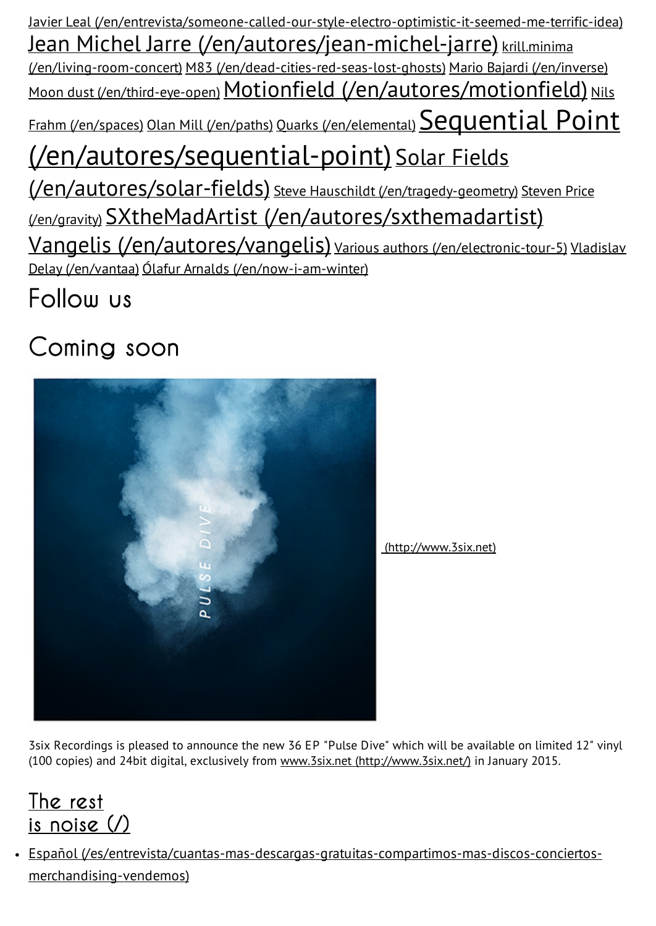Javier Leal [\(/en/entrevista/someone-called-our-style-electro-optimistic-it-seemed-me-terrific-idea\)](http://www.lodemasesruido.com/en/entrevista/someone-called-our-style-electro-optimistic-it-seemed-me-terrific-idea) Jean Michel Jarre [\(/en/autores/jean-michel-jarre\)](http://www.lodemasesruido.com/en/autores/jean-michel-jarre) krill.minima (/en/living-room-concert) M83 [\(/en/dead-cities-red-seas-lost-ghosts\)](http://www.lodemasesruido.com/en/dead-cities-red-seas-lost-ghosts) Mario Bajardi [\(/en/inverse\)](http://www.lodemasesruido.com/en/inverse) Moon dust [\(/en/third-eye-open\)](http://www.lodemasesruido.com/en/third-eye-open) Motionfield [\(/en/autores/motionfield\)](http://www.lodemasesruido.com/en/autores/motionfield) Nils Frahm (/en/spaces) Olan Mill [\(/en/paths\)](http://www.lodemasesruido.com/en/paths) Quarks [\(/en/elemental\)](http://www.lodemasesruido.com/en/elemental) Sequential Point [\(/en/autores/sequential-point\)](http://www.lodemasesruido.com/en/autores/sequential-point) Solar Fields (/en/autores/solar-fields) Steve Hauschildt [\(/en/tragedy-geometry\)](http://www.lodemasesruido.com/en/tragedy-geometry) Steven Price (/en/gravity) SXtheMadArtist [\(/en/autores/sxthemadartist\)](http://www.lodemasesruido.com/en/autores/sxthemadartist) Vangelis [\(/en/autores/vangelis\)](http://www.lodemasesruido.com/en/autores/vangelis) Various authors [\(/en/electronic-tour-5\)](http://www.lodemasesruido.com/en/electronic-tour-5) Vladislav Delay (/en/vantaa) Ólafur Arnalds [\(/en/now-i-am-winter\)](http://www.lodemasesruido.com/en/now-i-am-winter)

Follow us

## Coming soon



3six Recordings is pleased to announce the new 36 EP "Pulse Dive" which will be available on limited 12" vinyl (100 copies) and 24bit digital, exclusively from www.3six.net [\(http://www.3six.net/\)](http://www.3six.net/) in January 2015.

### The rest is noise  $($ )

Español [\(/es/entrevista/cuantas-mas-descargas-gratuitas-compartimos-mas-discos-conciertos](http://www.lodemasesruido.com/es/entrevista/cuantas-mas-descargas-gratuitas-compartimos-mas-discos-conciertos-merchandising-vendemos)merchandising-vendemos)